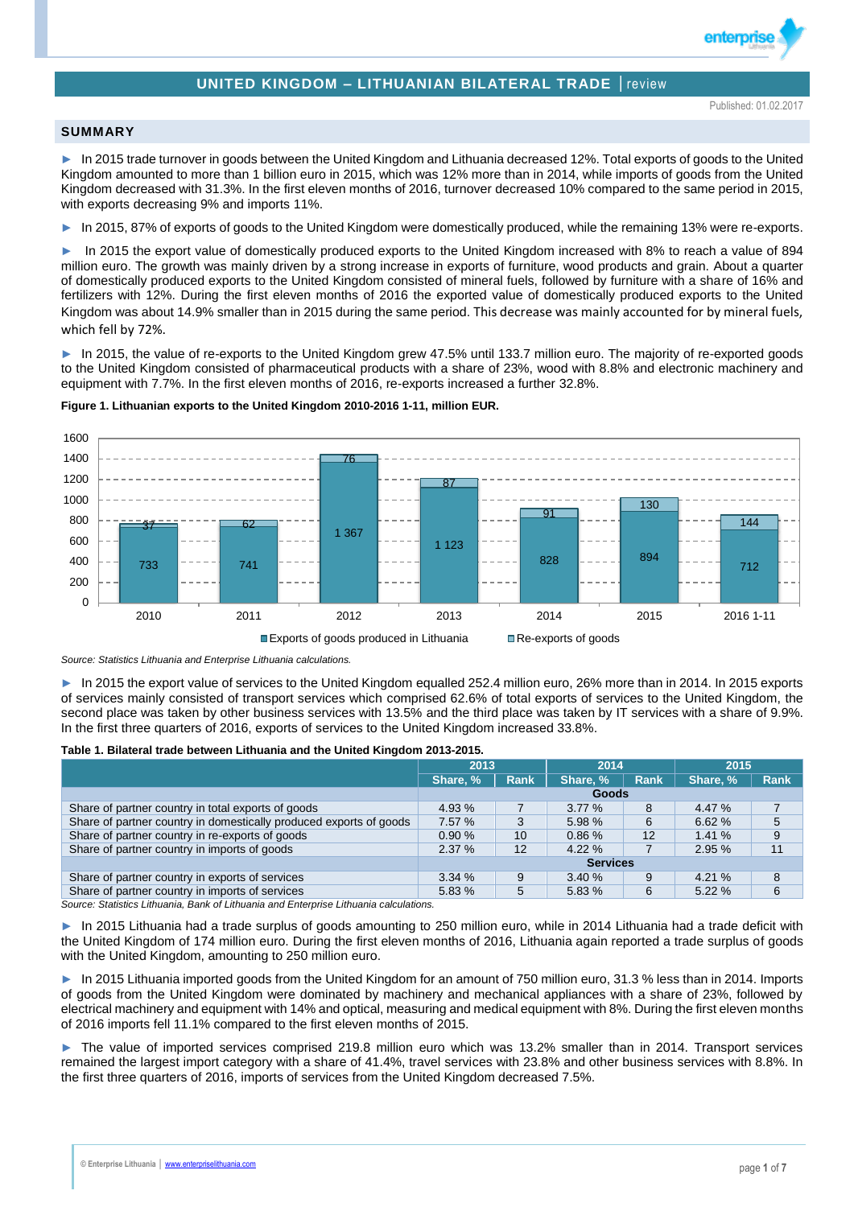# **UNITED KINGDOM – LITHUANIAN BILATERAL TRADE** │review

enterpri

### **SUMMARY**

► In 2015 trade turnover in goods between the United Kingdom and Lithuania decreased 12%. Total exports of goods to the United Kingdom amounted to more than 1 billion euro in 2015, which was 12% more than in 2014, while imports of goods from the United Kingdom decreased with 31.3%. In the first eleven months of 2016, turnover decreased 10% compared to the same period in 2015, with exports decreasing 9% and imports 11%.

► In 2015, 87% of exports of goods to the United Kingdom were domestically produced, while the remaining 13% were re-exports.

In 2015 the export value of domestically produced exports to the United Kingdom increased with 8% to reach a value of 894 million euro. The growth was mainly driven by a strong increase in exports of furniture, wood products and grain. About a quarter of domestically produced exports to the United Kingdom consisted of mineral fuels, followed by furniture with a share of 16% and fertilizers with 12%. During the first eleven months of 2016 the exported value of domestically produced exports to the United Kingdom was about 14.9% smaller than in 2015 during the same period. This decrease was mainly accounted for by mineral fuels, which fell by 72%.

In 2015, the value of re-exports to the United Kingdom grew 47.5% until 133.7 million euro. The majority of re-exported goods to the United Kingdom consisted of pharmaceutical products with a share of 23%, wood with 8.8% and electronic machinery and equipment with 7.7%. In the first eleven months of 2016, re-exports increased a further 32.8%.



#### **Figure 1. Lithuanian exports to the United Kingdom 2010-2016 1-11, million EUR.**

*Source: Statistics Lithuania and Enterprise Lithuania calculations.*

► In 2015 the export value of services to the United Kingdom equalled 252.4 million euro, 26% more than in 2014. In 2015 exports of services mainly consisted of transport services which comprised 62.6% of total exports of services to the United Kingdom, the second place was taken by other business services with 13.5% and the third place was taken by IT services with a share of 9.9%. In the first three quarters of 2016, exports of services to the United Kingdom increased 33.8%.

#### **Table 1. Bilateral trade between Lithuania and the United Kingdom 2013-2015.**

|                                                                    | 2013            |                 | 2014     |             | 2015     |             |  |
|--------------------------------------------------------------------|-----------------|-----------------|----------|-------------|----------|-------------|--|
|                                                                    | Share, %        | <b>Rank</b>     | Share, % | <b>Rank</b> | Share, % | <b>Rank</b> |  |
|                                                                    | Goods           |                 |          |             |          |             |  |
| Share of partner country in total exports of goods                 | 4.93%           |                 | 3.77%    | 8           | 4.47%    |             |  |
| Share of partner country in domestically produced exports of goods | 7.57 %          | 3               | 5.98%    | 6           | 6.62%    | 5           |  |
| Share of partner country in re-exports of goods                    | 0.90%           | 10 <sup>°</sup> | 0.86%    | 12          | 1.41%    | 9           |  |
| Share of partner country in imports of goods                       | 2.37%           | 12              | 4.22%    |             | 2.95%    | 11          |  |
|                                                                    | <b>Services</b> |                 |          |             |          |             |  |
| Share of partner country in exports of services                    | 3.34%           | 9               | 3.40%    | 9           | 4.21%    | 8           |  |
| Share of partner country in imports of services                    | 5.83%           | 5               | 5.83 %   | 6           | 5.22%    | 6           |  |

*Source: Statistics Lithuania, Bank of Lithuania and Enterprise Lithuania calculations.*

► In 2015 Lithuania had a trade surplus of goods amounting to 250 million euro, while in 2014 Lithuania had a trade deficit with the United Kingdom of 174 million euro. During the first eleven months of 2016, Lithuania again reported a trade surplus of goods with the United Kingdom, amounting to 250 million euro.

In 2015 Lithuania imported goods from the United Kingdom for an amount of 750 million euro, 31.3 % less than in 2014. Imports of goods from the United Kingdom were dominated by machinery and mechanical appliances with a share of 23%, followed by electrical machinery and equipment with 14% and optical, measuring and medical equipment with 8%. During the first eleven months of 2016 imports fell 11.1% compared to the first eleven months of 2015.

► The value of imported services comprised 219.8 million euro which was 13.2% smaller than in 2014. Transport services remained the largest import category with a share of 41.4%, travel services with 23.8% and other business services with 8.8%. In the first three quarters of 2016, imports of services from the United Kingdom decreased 7.5%.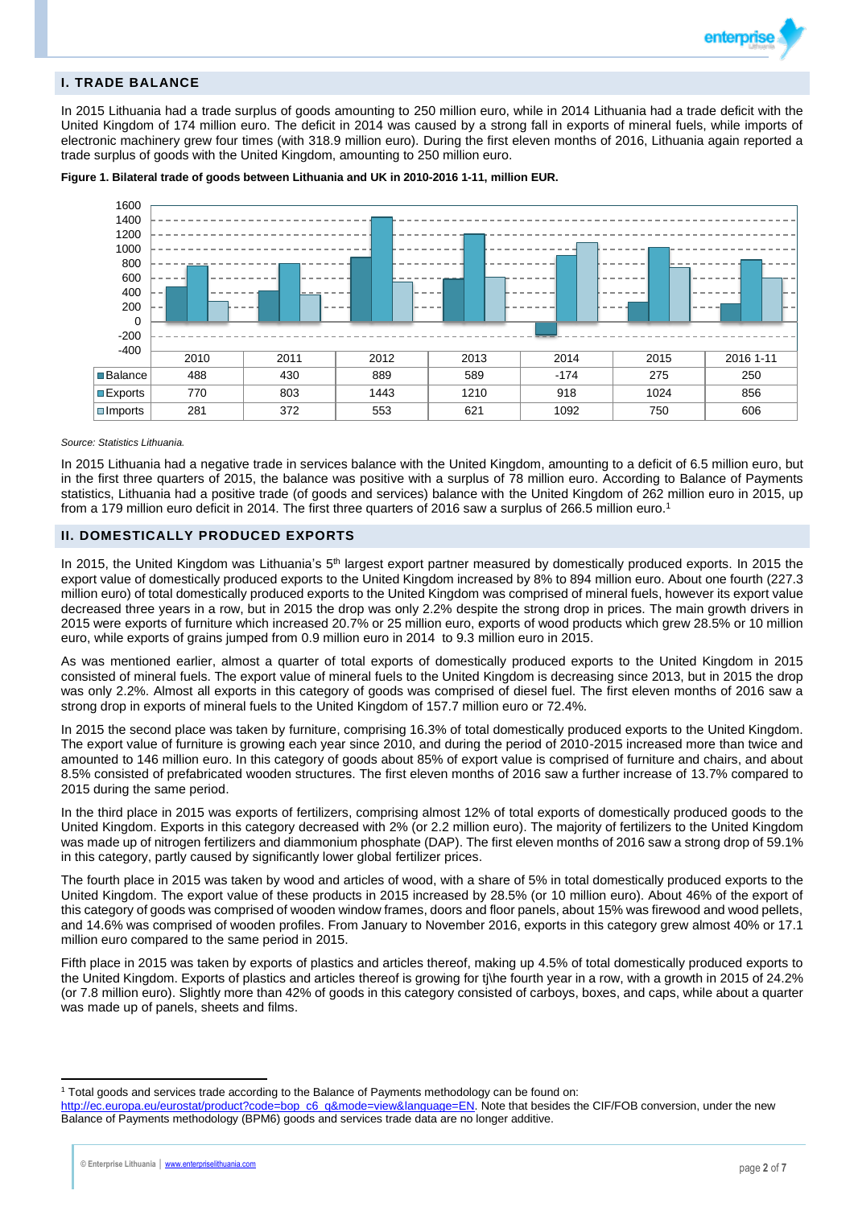

### **I. TRADE BALANCE**

In 2015 Lithuania had a trade surplus of goods amounting to 250 million euro, while in 2014 Lithuania had a trade deficit with the United Kingdom of 174 million euro. The deficit in 2014 was caused by a strong fall in exports of mineral fuels, while imports of electronic machinery grew four times (with 318.9 million euro). During the first eleven months of 2016, Lithuania again reported a trade surplus of goods with the United Kingdom, amounting to 250 million euro.



**Figure 1. Bilateral trade of goods between Lithuania and UK in 2010-2016 1-11, million EUR.**

#### *Source: Statistics Lithuania.*

In 2015 Lithuania had a negative trade in services balance with the United Kingdom, amounting to a deficit of 6.5 million euro, but in the first three quarters of 2015, the balance was positive with a surplus of 78 million euro. According to Balance of Payments statistics, Lithuania had a positive trade (of goods and services) balance with the United Kingdom of 262 million euro in 2015, up from a 179 million euro deficit in 2014. The first three quarters of 2016 saw a surplus of 266.5 million euro.<sup>1</sup>

#### **II. DOMESTICALLY PRODUCED EXPORTS**

In 2015, the United Kingdom was Lithuania's 5<sup>th</sup> largest export partner measured by domestically produced exports. In 2015 the export value of domestically produced exports to the United Kingdom increased by 8% to 894 million euro. About one fourth (227.3 million euro) of total domestically produced exports to the United Kingdom was comprised of mineral fuels, however its export value decreased three years in a row, but in 2015 the drop was only 2.2% despite the strong drop in prices. The main growth drivers in 2015 were exports of furniture which increased 20.7% or 25 million euro, exports of wood products which grew 28.5% or 10 million euro, while exports of grains jumped from 0.9 million euro in 2014 to 9.3 million euro in 2015.

As was mentioned earlier, almost a quarter of total exports of domestically produced exports to the United Kingdom in 2015 consisted of mineral fuels. The export value of mineral fuels to the United Kingdom is decreasing since 2013, but in 2015 the drop was only 2.2%. Almost all exports in this category of goods was comprised of diesel fuel. The first eleven months of 2016 saw a strong drop in exports of mineral fuels to the United Kingdom of 157.7 million euro or 72.4%.

In 2015 the second place was taken by furniture, comprising 16.3% of total domestically produced exports to the United Kingdom. The export value of furniture is growing each year since 2010, and during the period of 2010-2015 increased more than twice and amounted to 146 million euro. In this category of goods about 85% of export value is comprised of furniture and chairs, and about 8.5% consisted of prefabricated wooden structures. The first eleven months of 2016 saw a further increase of 13.7% compared to 2015 during the same period.

In the third place in 2015 was exports of fertilizers, comprising almost 12% of total exports of domestically produced goods to the United Kingdom. Exports in this category decreased with 2% (or 2.2 million euro). The majority of fertilizers to the United Kingdom was made up of nitrogen fertilizers and diammonium phosphate (DAP). The first eleven months of 2016 saw a strong drop of 59.1% in this category, partly caused by significantly lower global fertilizer prices.

The fourth place in 2015 was taken by wood and articles of wood, with a share of 5% in total domestically produced exports to the United Kingdom. The export value of these products in 2015 increased by 28.5% (or 10 million euro). About 46% of the export of this category of goods was comprised of wooden window frames, doors and floor panels, about 15% was firewood and wood pellets, and 14.6% was comprised of wooden profiles. From January to November 2016, exports in this category grew almost 40% or 17.1 million euro compared to the same period in 2015.

Fifth place in 2015 was taken by exports of plastics and articles thereof, making up 4.5% of total domestically produced exports to the United Kingdom. Exports of plastics and articles thereof is growing for tj\he fourth year in a row, with a growth in 2015 of 24.2% (or 7.8 million euro). Slightly more than 42% of goods in this category consisted of carboys, boxes, and caps, while about a quarter was made up of panels, sheets and films.

 $\overline{a}$ 

<sup>1</sup> Total goods and services trade according to the Balance of Payments methodology can be found on:

[http://ec.europa.eu/eurostat/product?code=bop\\_c6\\_q&mode=view&language=EN.](http://ec.europa.eu/eurostat/product?code=bop_c6_q&mode=view&language=EN) Note that besides the CIF/FOB conversion, under the new Balance of Payments methodology (BPM6) goods and services trade data are no longer additive.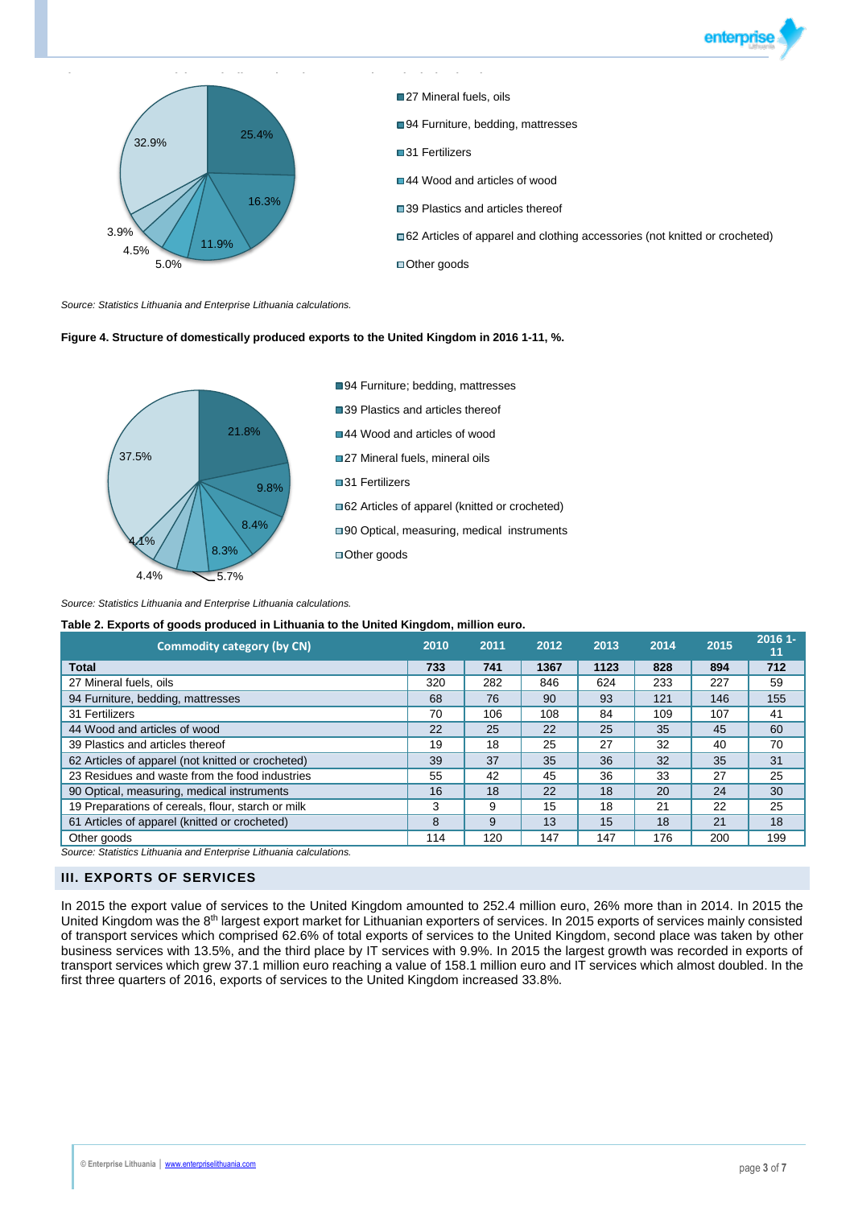



*Source: Statistics Lithuania and Enterprise Lithuania calculations.*

### **Figure 4. Structure of domestically produced exports to the United Kingdom in 2016 1-11, %.**



#### *Source: Statistics Lithuania and Enterprise Lithuania calculations.*

### **Table 2. Exports of goods produced in Lithuania to the United Kingdom, million euro.**

| <b>Commodity category (by CN)</b>                                  | 2010 | 2011 | 2012 | 2013 | 2014 | 2015 | $20161 -$<br>11 |
|--------------------------------------------------------------------|------|------|------|------|------|------|-----------------|
| <b>Total</b>                                                       | 733  | 741  | 1367 | 1123 | 828  | 894  | 712             |
| 27 Mineral fuels, oils                                             | 320  | 282  | 846  | 624  | 233  | 227  | 59              |
| 94 Furniture, bedding, mattresses                                  | 68   | 76   | 90   | 93   | 121  | 146  | 155             |
| 31 Fertilizers                                                     | 70   | 106  | 108  | 84   | 109  | 107  | 41              |
| 44 Wood and articles of wood                                       | 22   | 25   | 22   | 25   | 35   | 45   | 60              |
| 39 Plastics and articles thereof                                   | 19   | 18   | 25   | 27   | 32   | 40   | 70              |
| 62 Articles of apparel (not knitted or crocheted)                  | 39   | 37   | 35   | 36   | 32   | 35   | 31              |
| 23 Residues and waste from the food industries                     | 55   | 42   | 45   | 36   | 33   | 27   | 25              |
| 90 Optical, measuring, medical instruments                         | 16   | 18   | 22   | 18   | 20   | 24   | 30              |
| 19 Preparations of cereals, flour, starch or milk                  | 3    | 9    | 15   | 18   | 21   | 22   | 25              |
| 61 Articles of apparel (knitted or crocheted)                      | 8    | 9    | 13   | 15   | 18   | 21   | 18              |
| Other goods                                                        | 114  | 120  | 147  | 147  | 176  | 200  | 199             |
| Source: Statistics Lithuania and Enternrise Lithuania calculations |      |      |      |      |      |      |                 |

*Source: Statistics Lithuania and Enterprise Lithuania calculations.*

## **III. EXPORTS OF SERVICES**

In 2015 the export value of services to the United Kingdom amounted to 252.4 million euro, 26% more than in 2014. In 2015 the United Kingdom was the 8<sup>th</sup> largest export market for Lithuanian exporters of services. In 2015 exports of services mainly consisted of transport services which comprised 62.6% of total exports of services to the United Kingdom, second place was taken by other business services with 13.5%, and the third place by IT services with 9.9%. In 2015 the largest growth was recorded in exports of transport services which grew 37.1 million euro reaching a value of 158.1 million euro and IT services which almost doubled. In the first three quarters of 2016, exports of services to the United Kingdom increased 33.8%.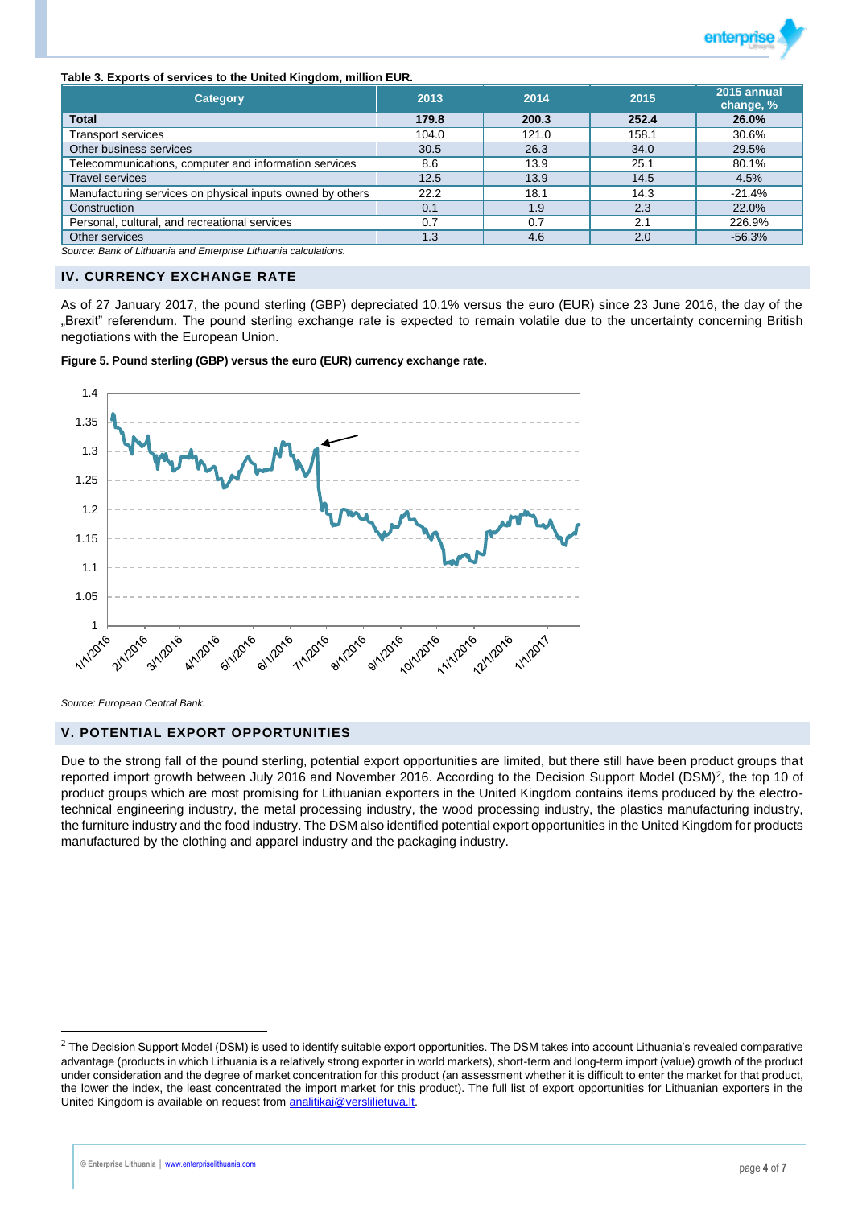

#### **Table 3. Exports of services to the United Kingdom, million EUR.**

| <b>Category</b>                                           | 2013  | 2014  | 2015  | 2015 annual<br>change, % |
|-----------------------------------------------------------|-------|-------|-------|--------------------------|
| <b>Total</b>                                              | 179.8 | 200.3 | 252.4 | 26.0%                    |
| <b>Transport services</b>                                 | 104.0 | 121.0 | 158.1 | 30.6%                    |
| Other business services                                   | 30.5  | 26.3  | 34.0  | 29.5%                    |
| Telecommunications, computer and information services     | 8.6   | 13.9  | 25.1  | 80.1%                    |
| <b>Travel services</b>                                    | 12.5  | 13.9  | 14.5  | 4.5%                     |
| Manufacturing services on physical inputs owned by others | 22.2  | 18.1  | 14.3  | $-21.4%$                 |
| Construction                                              | 0.1   | 1.9   | 2.3   | 22.0%                    |
| Personal, cultural, and recreational services             | 0.7   | 0.7   | 2.1   | 226.9%                   |
| Other services                                            | 1.3   | 4.6   | 2.0   | $-56.3%$                 |

*Source: Bank of Lithuania and Enterprise Lithuania calculations.*

### **IV. CURRENCY EXCHANGE RATE**

As of 27 January 2017, the pound sterling (GBP) depreciated 10.1% versus the euro (EUR) since 23 June 2016, the day of the "Brexit" referendum. The pound sterling exchange rate is expected to remain volatile due to the uncertainty concerning British negotiations with the European Union.

**Figure 5. Pound sterling (GBP) versus the euro (EUR) currency exchange rate.**



*Source: European Central Bank.*

### **V. POTENTIAL EXPORT OPPORTUNITIES**

Due to the strong fall of the pound sterling, potential export opportunities are limited, but there still have been product groups that reported import growth between July 2016 and November 2016. According to the Decision Support Model (DSM)<sup>2</sup>, the top 10 of product groups which are most promising for Lithuanian exporters in the United Kingdom contains items produced by the electrotechnical engineering industry, the metal processing industry, the wood processing industry, the plastics manufacturing industry, the furniture industry and the food industry. The DSM also identified potential export opportunities in the United Kingdom for products manufactured by the clothing and apparel industry and the packaging industry.

 $\overline{a}$ 

 $<sup>2</sup>$  The Decision Support Model (DSM) is used to identify suitable export opportunities. The DSM takes into account Lithuania's revealed comparative</sup> advantage (products in which Lithuania is a relatively strong exporter in world markets), short-term and long-term import (value) growth of the product under consideration and the degree of market concentration for this product (an assessment whether it is difficult to enter the market for that product, the lower the index, the least concentrated the import market for this product). The full list of export opportunities for Lithuanian exporters in the United Kingdom is available on request from **analitikai@verslilietuva.lt**.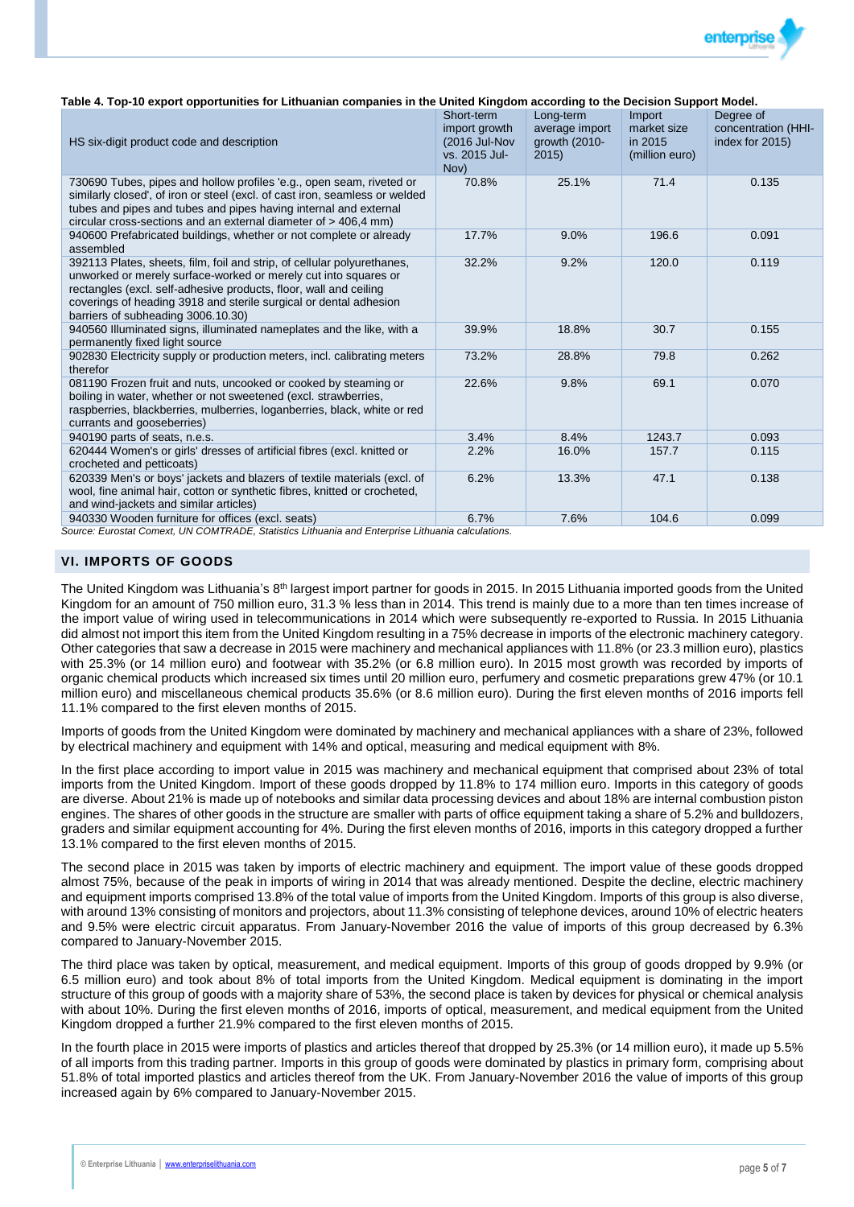

#### **Table 4. Top-10 export opportunities for Lithuanian companies in the United Kingdom according to the Decision Support Model.**

| HS six-digit product code and description                                                                                                                                                                                                                                                                                  | Short-term<br>import growth<br>(2016 Jul-Nov)<br>vs. 2015 Jul-<br>Nov) | Long-term<br>average import<br>growth $(2010 -$<br>2015 | Import<br>market size<br>in 2015<br>(million euro) | Degree of<br>concentration (HHI-<br>index for 2015) |
|----------------------------------------------------------------------------------------------------------------------------------------------------------------------------------------------------------------------------------------------------------------------------------------------------------------------------|------------------------------------------------------------------------|---------------------------------------------------------|----------------------------------------------------|-----------------------------------------------------|
| 730690 Tubes, pipes and hollow profiles 'e.g., open seam, riveted or<br>similarly closed', of iron or steel (excl. of cast iron, seamless or welded<br>tubes and pipes and tubes and pipes having internal and external<br>circular cross-sections and an external diameter of $>$ 406,4 mm)                               | 70.8%                                                                  | 25.1%                                                   | 71.4                                               | 0.135                                               |
| 940600 Prefabricated buildings, whether or not complete or already<br>assembled                                                                                                                                                                                                                                            | 17.7%                                                                  | 9.0%                                                    | 196.6                                              | 0.091                                               |
| 392113 Plates, sheets, film, foil and strip, of cellular polyurethanes,<br>unworked or merely surface-worked or merely cut into squares or<br>rectangles (excl. self-adhesive products, floor, wall and ceiling<br>coverings of heading 3918 and sterile surgical or dental adhesion<br>barriers of subheading 3006.10.30) | 32.2%                                                                  | 9.2%                                                    | 120.0                                              | 0.119                                               |
| 940560 Illuminated signs, illuminated nameplates and the like, with a<br>permanently fixed light source                                                                                                                                                                                                                    | 39.9%                                                                  | 18.8%                                                   | 30.7                                               | 0.155                                               |
| 902830 Electricity supply or production meters, incl. calibrating meters<br>therefor                                                                                                                                                                                                                                       | 73.2%                                                                  | 28.8%                                                   | 79.8                                               | 0.262                                               |
| 081190 Frozen fruit and nuts, uncooked or cooked by steaming or<br>boiling in water, whether or not sweetened (excl. strawberries,<br>raspberries, blackberries, mulberries, loganberries, black, white or red<br>currants and gooseberries)                                                                               | 22.6%                                                                  | 9.8%                                                    | 69.1                                               | 0.070                                               |
| 940190 parts of seats, n.e.s.                                                                                                                                                                                                                                                                                              | 3.4%                                                                   | 8.4%                                                    | 1243.7                                             | 0.093                                               |
| 620444 Women's or girls' dresses of artificial fibres (excl. knitted or<br>crocheted and petticoats)                                                                                                                                                                                                                       | 2.2%                                                                   | 16.0%                                                   | 157.7                                              | 0.115                                               |
| 620339 Men's or boys' jackets and blazers of textile materials (excl. of<br>wool, fine animal hair, cotton or synthetic fibres, knitted or crocheted,<br>and wind-jackets and similar articles)                                                                                                                            | 6.2%                                                                   | 13.3%                                                   | 47.1                                               | 0.138                                               |
| 940330 Wooden furniture for offices (excl. seats)                                                                                                                                                                                                                                                                          | 6.7%                                                                   | 7.6%                                                    | 104.6                                              | 0.099                                               |

*Source: Eurostat Comext, UN COMTRADE, Statistics Lithuania and Enterprise Lithuania calculations.*

### **VI. IMPORTS OF GOODS**

The United Kingdom was Lithuania's 8<sup>th</sup> largest import partner for goods in 2015. In 2015 Lithuania imported goods from the United Kingdom for an amount of 750 million euro, 31.3 % less than in 2014. This trend is mainly due to a more than ten times increase of the import value of wiring used in telecommunications in 2014 which were subsequently re-exported to Russia. In 2015 Lithuania did almost not import this item from the United Kingdom resulting in a 75% decrease in imports of the electronic machinery category. Other categories that saw a decrease in 2015 were machinery and mechanical appliances with 11.8% (or 23.3 million euro), plastics with 25.3% (or 14 million euro) and footwear with 35.2% (or 6.8 million euro). In 2015 most growth was recorded by imports of organic chemical products which increased six times until 20 million euro, perfumery and cosmetic preparations grew 47% (or 10.1 million euro) and miscellaneous chemical products 35.6% (or 8.6 million euro). During the first eleven months of 2016 imports fell 11.1% compared to the first eleven months of 2015.

Imports of goods from the United Kingdom were dominated by machinery and mechanical appliances with a share of 23%, followed by electrical machinery and equipment with 14% and optical, measuring and medical equipment with 8%.

In the first place according to import value in 2015 was machinery and mechanical equipment that comprised about 23% of total imports from the United Kingdom. Import of these goods dropped by 11.8% to 174 million euro. Imports in this category of goods are diverse. About 21% is made up of notebooks and similar data processing devices and about 18% are internal combustion piston engines. The shares of other goods in the structure are smaller with parts of office equipment taking a share of 5.2% and bulldozers, graders and similar equipment accounting for 4%. During the first eleven months of 2016, imports in this category dropped a further 13.1% compared to the first eleven months of 2015.

The second place in 2015 was taken by imports of electric machinery and equipment. The import value of these goods dropped almost 75%, because of the peak in imports of wiring in 2014 that was already mentioned. Despite the decline, electric machinery and equipment imports comprised 13.8% of the total value of imports from the United Kingdom. Imports of this group is also diverse, with around 13% consisting of monitors and projectors, about 11.3% consisting of telephone devices, around 10% of electric heaters and 9.5% were electric circuit apparatus. From January-November 2016 the value of imports of this group decreased by 6.3% compared to January-November 2015.

The third place was taken by optical, measurement, and medical equipment. Imports of this group of goods dropped by 9.9% (or 6.5 million euro) and took about 8% of total imports from the United Kingdom. Medical equipment is dominating in the import structure of this group of goods with a majority share of 53%, the second place is taken by devices for physical or chemical analysis with about 10%. During the first eleven months of 2016, imports of optical, measurement, and medical equipment from the United Kingdom dropped a further 21.9% compared to the first eleven months of 2015.

In the fourth place in 2015 were imports of plastics and articles thereof that dropped by 25.3% (or 14 million euro), it made up 5.5% of all imports from this trading partner. Imports in this group of goods were dominated by plastics in primary form, comprising about 51.8% of total imported plastics and articles thereof from the UK. From January-November 2016 the value of imports of this group increased again by 6% compared to January-November 2015.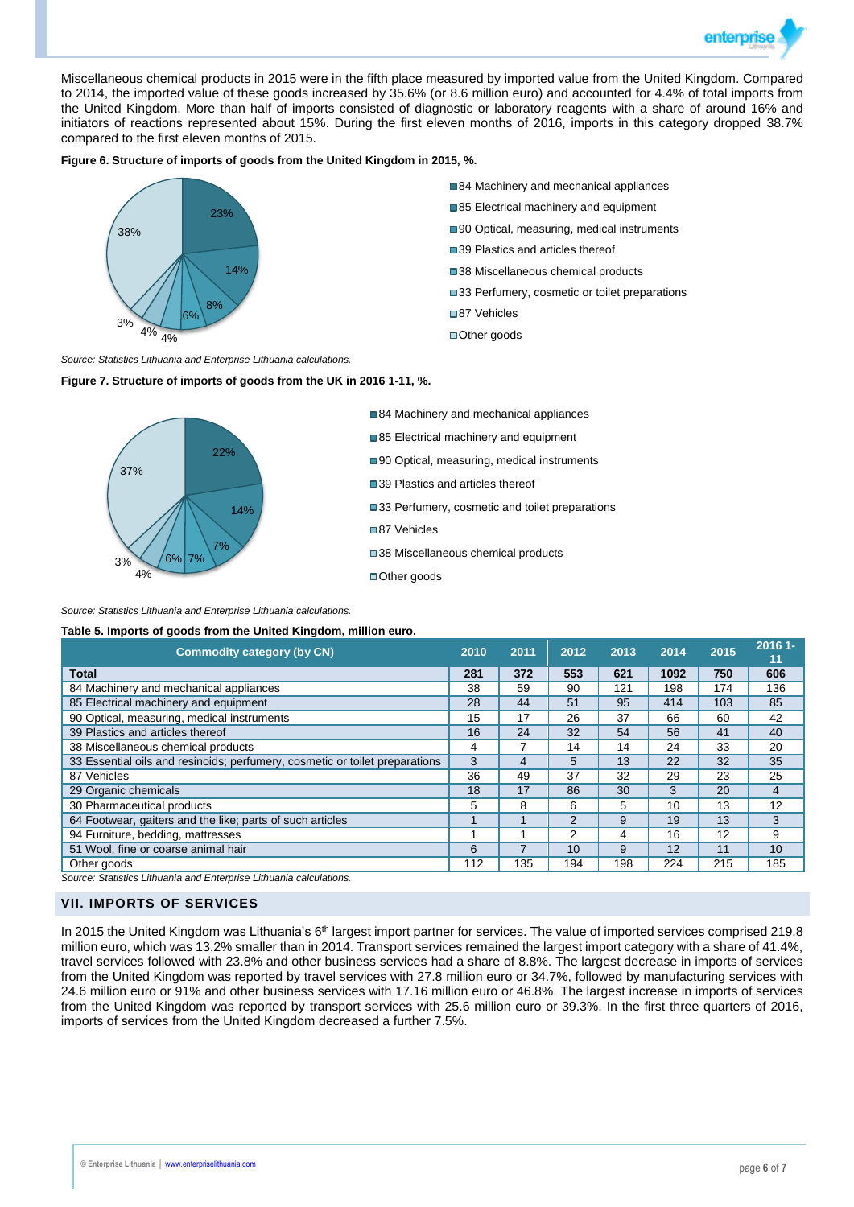

Miscellaneous chemical products in 2015 were in the fifth place measured by imported value from the United Kingdom. Compared to 2014, the imported value of these goods increased by 35.6% (or 8.6 million euro) and accounted for 4.4% of total imports from the United Kingdom. More than half of imports consisted of diagnostic or laboratory reagents with a share of around 16% and initiators of reactions represented about 15%. During the first eleven months of 2016, imports in this category dropped 38.7% compared to the first eleven months of 2015.

### **Figure 6. Structure of imports of goods from the United Kingdom in 2015, %.**



- 84 Machinery and mechanical appliances
- 85 Electrical machinery and equipment
- ■90 Optical, measuring, medical instruments
- ■39 Plastics and articles thereof
- ■38 Miscellaneous chemical products
- ■33 Perfumery, cosmetic or toilet preparations
- ■87 Vehicles
- ■Other goods

*Source: Statistics Lithuania and Enterprise Lithuania calculations.*

**Figure 7. Structure of imports of goods from the UK in 2016 1-11, %.**



■84 Machinery and mechanical appliances

- 85 Electrical machinery and equipment
- ■90 Optical, measuring, medical instruments
- ■39 Plastics and articles thereof
- ■33 Perfumery, cosmetic and toilet preparations
- ■87 Vehicles
- ■38 Miscellaneous chemical products
- ■Other goods

*Source: Statistics Lithuania and Enterprise Lithuania calculations.*

**Table 5. Imports of goods from the United Kingdom, million euro.**

| <b>Commodity category (by CN)</b>                                           | 2010 | 2011 | 2012           | 2013 | 2014 | 2015 | 2016 1-<br>11  |
|-----------------------------------------------------------------------------|------|------|----------------|------|------|------|----------------|
| <b>Total</b>                                                                | 281  | 372  | 553            | 621  | 1092 | 750  | 606            |
| 84 Machinery and mechanical appliances                                      | 38   | 59   | 90             | 121  | 198  | 174  | 136            |
| 85 Electrical machinery and equipment                                       | 28   | 44   | 51             | 95   | 414  | 103  | 85             |
| 90 Optical, measuring, medical instruments                                  | 15   | 17   | 26             | 37   | 66   | 60   | 42             |
| 39 Plastics and articles thereof                                            | 16   | 24   | 32             | 54   | 56   | 41   | 40             |
| 38 Miscellaneous chemical products                                          | 4    |      | 14             | 14   | 24   | 33   | 20             |
| 33 Essential oils and resinoids; perfumery, cosmetic or toilet preparations | 3    | 4    | 5              | 13   | 22   | 32   | 35             |
| 87 Vehicles                                                                 | 36   | 49   | 37             | 32   | 29   | 23   | 25             |
| 29 Organic chemicals                                                        | 18   | 17   | 86             | 30   | 3    | 20   | $\overline{4}$ |
| 30 Pharmaceutical products                                                  | 5    | 8    | 6              | 5    | 10   | 13   | 12             |
| 64 Footwear, gaiters and the like; parts of such articles                   |      |      | $\overline{2}$ | 9    | 19   | 13   | 3              |
| 94 Furniture, bedding, mattresses                                           |      |      | 2              | 4    | 16   | 12   | 9              |
| 51 Wool, fine or coarse animal hair                                         | 6    |      | 10             | 9    | 12   | 11   | 10             |
| Other goods                                                                 | 112  | 135  | 194            | 198  | 224  | 215  | 185            |

*Source: Statistics Lithuania and Enterprise Lithuania calculations.*

### **VII. IMPORTS OF SERVICES**

In 2015 the United Kingdom was Lithuania's  $6<sup>th</sup>$  largest import partner for services. The value of imported services comprised 219.8 million euro, which was 13.2% smaller than in 2014. Transport services remained the largest import category with a share of 41.4%, travel services followed with 23.8% and other business services had a share of 8.8%. The largest decrease in imports of services from the United Kingdom was reported by travel services with 27.8 million euro or 34.7%, followed by manufacturing services with 24.6 million euro or 91% and other business services with 17.16 million euro or 46.8%. The largest increase in imports of services from the United Kingdom was reported by transport services with 25.6 million euro or 39.3%. In the first three quarters of 2016, imports of services from the United Kingdom decreased a further 7.5%.